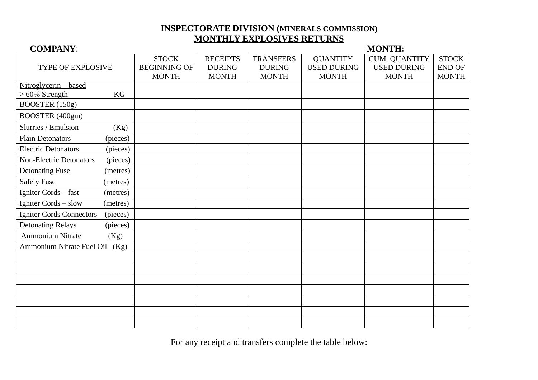## **INSPECTORATE DIVISION ( MINERALS COMMISSION) MONTHLY EXPLOSIVES RETURNS**

### TYPE OF EXPLOSIVE **STOCK** BEGINNING OF MONTH **RECEIPTS** DURING MONTH **TRANSFERS** DURING MONTH **OUANTITY** USED DURING MONTH CUM. QUANTITY USED DURING MONTH **STOCK** END OF MONTH Nitroglycerin – based > 60% Strength KG BOOSTER (150g) BOOSTER (400gm) Slurries / Emulsion (Kg) Plain Detonators (pieces) Electric Detonators (pieces) Non-Electric Detonators (pieces) Detonating Fuse (metres) Safety Fuse (metres) Igniter Cords – fast (metres) Igniter Cords – slow (metres) Igniter Cords Connectors (pieces) Detonating Relays (pieces) Ammonium Nitrate (Kg) Ammonium Nitrate Fuel Oil (Kg)

For any receipt and transfers complete the table below:

## **COMPANY**: **MONTH:**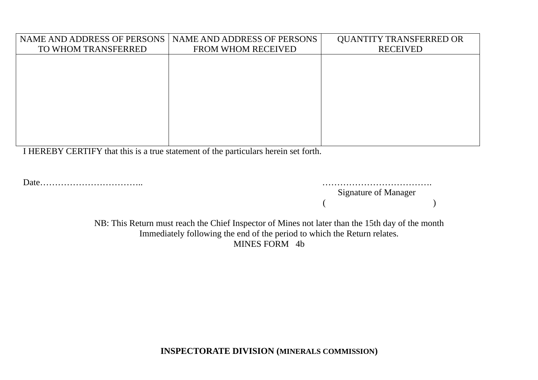| <b>NAME AND ADDRESS OF PERSONS</b> | NAME AND ADDRESS OF PERSONS | <b>QUANTITY TRANSFERRED OR</b> |
|------------------------------------|-----------------------------|--------------------------------|
| TO WHOM TRANSFERRED                | <b>FROM WHOM RECEIVED</b>   | <b>RECEIVED</b>                |
|                                    |                             |                                |
|                                    |                             |                                |
|                                    |                             |                                |
|                                    |                             |                                |
|                                    |                             |                                |
|                                    |                             |                                |
|                                    |                             |                                |
|                                    |                             |                                |
|                                    |                             |                                |

I HEREBY CERTIFY that this is a true statement of the particulars herein set forth.

Date…………………………….. ……………………………….

 Signature of Manager  $($ 

> NB: This Return must reach the Chief Inspector of Mines not later than the 15th day of the month Immediately following the end of the period to which the Return relates. MINES FORM 4b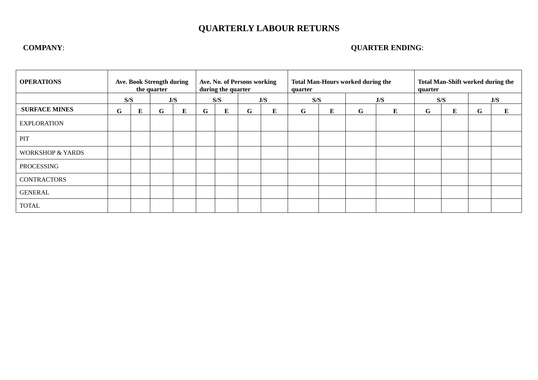# **QUARTERLY LABOUR RETURNS**

## **COMPANY**: **QUARTER ENDING**:

| <b>OPERATIONS</b>           | <b>Ave. Book Strength during</b><br>the quarter |            | Ave. No. of Persons working<br>during the quarter |   |            | <b>Total Man-Hours worked during the</b><br>quarter |     |   | <b>Total Man-Shift worked during the</b><br>quarter |                           |   |     |   |           |   |   |
|-----------------------------|-------------------------------------------------|------------|---------------------------------------------------|---|------------|-----------------------------------------------------|-----|---|-----------------------------------------------------|---------------------------|---|-----|---|-----------|---|---|
|                             |                                                 | S/S<br>J/S |                                                   |   | S/S<br>J/S |                                                     | S/S |   |                                                     | $\mathbf{J} / \mathbf{S}$ |   | S/S |   | J/S       |   |   |
| <b>SURFACE MINES</b>        | G                                               | E          | G                                                 | E | G          | Е                                                   | G   | E | G                                                   | ${\bf E}$                 | G | E   | G | ${\bf E}$ | G | E |
| <b>EXPLORATION</b>          |                                                 |            |                                                   |   |            |                                                     |     |   |                                                     |                           |   |     |   |           |   |   |
| PIT                         |                                                 |            |                                                   |   |            |                                                     |     |   |                                                     |                           |   |     |   |           |   |   |
| <b>WORKSHOP &amp; YARDS</b> |                                                 |            |                                                   |   |            |                                                     |     |   |                                                     |                           |   |     |   |           |   |   |
| PROCESSING                  |                                                 |            |                                                   |   |            |                                                     |     |   |                                                     |                           |   |     |   |           |   |   |
| CONTRACTORS                 |                                                 |            |                                                   |   |            |                                                     |     |   |                                                     |                           |   |     |   |           |   |   |
| GENERAL                     |                                                 |            |                                                   |   |            |                                                     |     |   |                                                     |                           |   |     |   |           |   |   |
| <b>TOTAL</b>                |                                                 |            |                                                   |   |            |                                                     |     |   |                                                     |                           |   |     |   |           |   |   |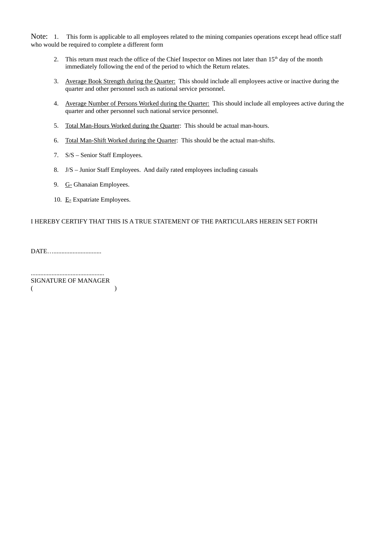Note: 1. This form is applicable to all employees related to the mining companies operations except head office staff who would be required to complete a different form

- 2. This return must reach the office of the Chief Inspector on Mines not later than 15<sup>th</sup> day of the month immediately following the end of the period to which the Return relates.
- 3. Average Book Strength during the Quarter: This should include all employees active or inactive during the quarter and other personnel such as national service personnel.
- 4. Average Number of Persons Worked during the Quarter: This should include all employees active during the quarter and other personnel such national service personnel.
- 5. Total Man-Hours Worked during the Quarter: This should be actual man-hours.
- 6. Total Man-Shift Worked during the Quarter: This should be the actual man-shifts.
- 7. S/S Senior Staff Employees.
- 8. J/S Junior Staff Employees. And daily rated employees including casuals
- 9. **G**-Ghanaian Employees.
- 10. E- Expatriate Employees.

### I HEREBY CERTIFY THAT THIS IS A TRUE STATEMENT OF THE PARTICULARS HEREIN SET FORTH

DATE….................................

.............................................. SIGNATURE OF MANAGER  $($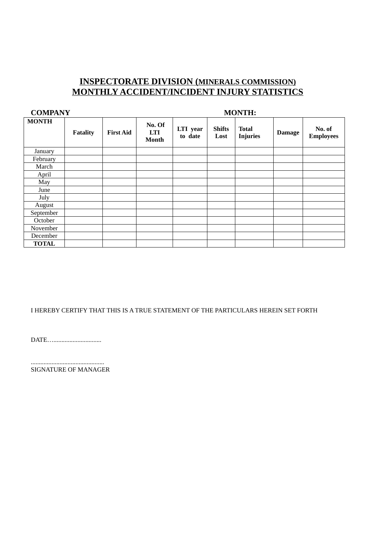## **INSPECTORATE DIVISION ( MINERALS COMMISSION) MONTHLY ACCIDENT/INCIDENT INJURY STATISTICS**

| <b>COMPANY</b> |                 | <b>MONTH:</b>    |                               |                     |                       |                                 |               |                            |
|----------------|-----------------|------------------|-------------------------------|---------------------|-----------------------|---------------------------------|---------------|----------------------------|
| <b>MONTH</b>   | <b>Fatality</b> | <b>First Aid</b> | No. Of<br>LTI<br><b>Month</b> | LTI year<br>to date | <b>Shifts</b><br>Lost | <b>Total</b><br><b>Injuries</b> | <b>Damage</b> | No. of<br><b>Employees</b> |
| January        |                 |                  |                               |                     |                       |                                 |               |                            |
| February       |                 |                  |                               |                     |                       |                                 |               |                            |
| March          |                 |                  |                               |                     |                       |                                 |               |                            |
| April          |                 |                  |                               |                     |                       |                                 |               |                            |
| May            |                 |                  |                               |                     |                       |                                 |               |                            |
| June           |                 |                  |                               |                     |                       |                                 |               |                            |
| July           |                 |                  |                               |                     |                       |                                 |               |                            |
| August         |                 |                  |                               |                     |                       |                                 |               |                            |
| September      |                 |                  |                               |                     |                       |                                 |               |                            |
| October        |                 |                  |                               |                     |                       |                                 |               |                            |
| November       |                 |                  |                               |                     |                       |                                 |               |                            |
| December       |                 |                  |                               |                     |                       |                                 |               |                            |
| <b>TOTAL</b>   |                 |                  |                               |                     |                       |                                 |               |                            |

### I HEREBY CERTIFY THAT THIS IS A TRUE STATEMENT OF THE PARTICULARS HEREIN SET FORTH

DATE…..............................

.............................................. SIGNATURE OF MANAGER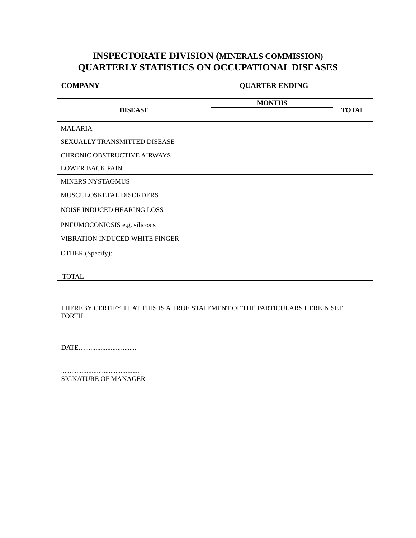## **INSPECTORATE DIVISION ( MINERALS COMMISSION) QUARTERLY STATISTICS ON OCCUPATIONAL DISEASES**

## **COMPANY QUARTER ENDING**

|                                       | <b>MONTHS</b> |              |
|---------------------------------------|---------------|--------------|
| <b>DISEASE</b>                        |               | <b>TOTAL</b> |
| <b>MALARIA</b>                        |               |              |
| SEXUALLY TRANSMITTED DISEASE          |               |              |
| <b>CHRONIC OBSTRUCTIVE AIRWAYS</b>    |               |              |
| <b>LOWER BACK PAIN</b>                |               |              |
| <b>MINERS NYSTAGMUS</b>               |               |              |
| MUSCULOSKETAL DISORDERS               |               |              |
| <b>NOISE INDUCED HEARING LOSS</b>     |               |              |
| PNEUMOCONIOSIS e.g. silicosis         |               |              |
| <b>VIBRATION INDUCED WHITE FINGER</b> |               |              |
| OTHER (Specify):                      |               |              |
|                                       |               |              |
| TOTAL                                 |               |              |

I HEREBY CERTIFY THAT THIS IS A TRUE STATEMENT OF THE PARTICULARS HEREIN SET FORTH

DATE…..............................

.............................................. SIGNATURE OF MANAGER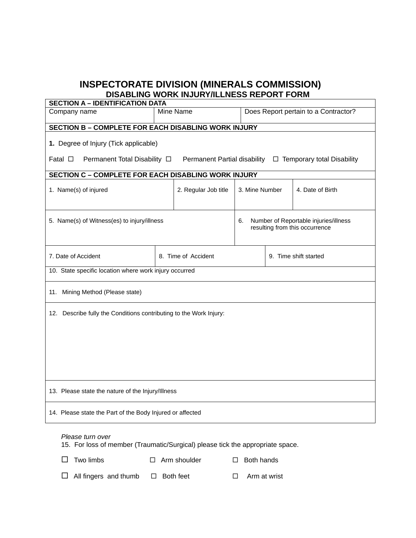## **INSPECTORATE DIVISION (MINERALS COMMISSION) DISABLING WORK INJURY/ILLNESS REPORT FORM**

| <b>SECTION A - IDENTIFICATION DATA</b>                                                                                       |                                                   |                |                       |                  |  |  |  |  |  |
|------------------------------------------------------------------------------------------------------------------------------|---------------------------------------------------|----------------|-----------------------|------------------|--|--|--|--|--|
| Company name                                                                                                                 | Mine Name<br>Does Report pertain to a Contractor? |                |                       |                  |  |  |  |  |  |
| <b>SECTION B - COMPLETE FOR EACH DISABLING WORK INJURY</b>                                                                   |                                                   |                |                       |                  |  |  |  |  |  |
| 1. Degree of Injury (Tick applicable)                                                                                        |                                                   |                |                       |                  |  |  |  |  |  |
| Fatal $\Box$<br>Permanent Total Disability $\Box$<br>Permanent Partial disability<br>$\Box$ Temporary total Disability       |                                                   |                |                       |                  |  |  |  |  |  |
| SECTION C - COMPLETE FOR EACH DISABLING WORK INJURY                                                                          |                                                   |                |                       |                  |  |  |  |  |  |
| 1. Name(s) of injured                                                                                                        | 2. Regular Job title                              | 3. Mine Number |                       | 4. Date of Birth |  |  |  |  |  |
| 5. Name(s) of Witness(es) to injury/illness<br>Number of Reportable injuries/illness<br>6.<br>resulting from this occurrence |                                                   |                |                       |                  |  |  |  |  |  |
| 7. Date of Accident                                                                                                          | 8. Time of Accident                               |                | 9. Time shift started |                  |  |  |  |  |  |
| 10. State specific location where work injury occurred                                                                       |                                                   |                |                       |                  |  |  |  |  |  |
| 11. Mining Method (Please state)                                                                                             |                                                   |                |                       |                  |  |  |  |  |  |
| 12. Describe fully the Conditions contributing to the Work Injury:                                                           |                                                   |                |                       |                  |  |  |  |  |  |
|                                                                                                                              |                                                   |                |                       |                  |  |  |  |  |  |
|                                                                                                                              |                                                   |                |                       |                  |  |  |  |  |  |
|                                                                                                                              |                                                   |                |                       |                  |  |  |  |  |  |
|                                                                                                                              |                                                   |                |                       |                  |  |  |  |  |  |
| 13. Please state the nature of the Injury/Illness                                                                            |                                                   |                |                       |                  |  |  |  |  |  |
| 14. Please state the Part of the Body Injured or affected                                                                    |                                                   |                |                       |                  |  |  |  |  |  |

### *Please turn over*

15. For loss of member (Traumatic/Surgical) please tick the appropriate space.

 $\Box$  Two limbs  $\Box$  Arm shoulder  $\Box$  Both hands

 $\Box$  All fingers and thumb  $\Box$  Both feet  $\Box$  Arm at wrist